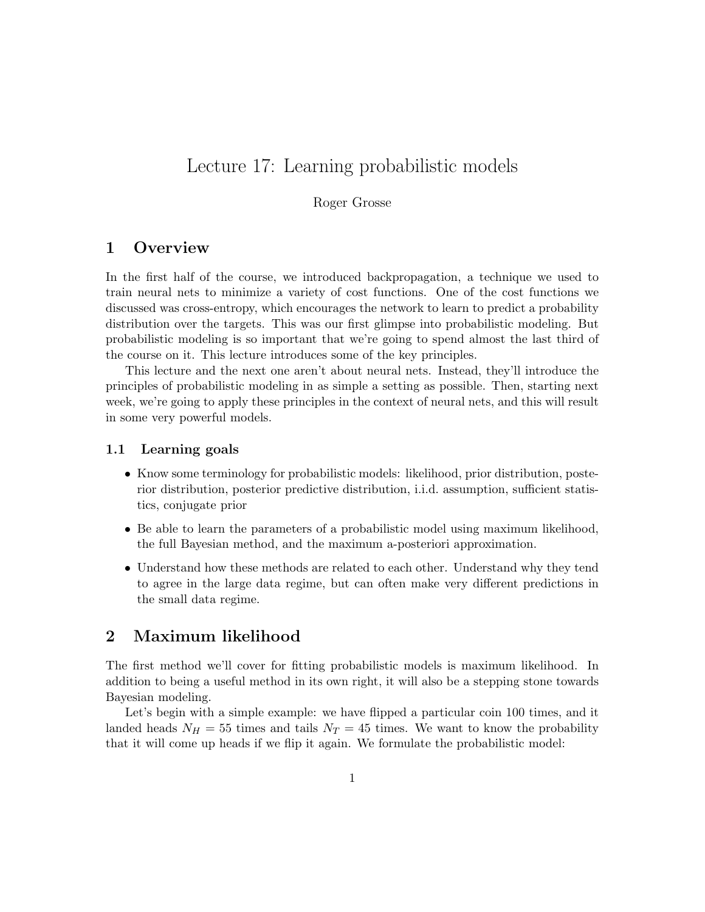# Lecture 17: Learning probabilistic models

Roger Grosse

# 1 Overview

In the first half of the course, we introduced backpropagation, a technique we used to train neural nets to minimize a variety of cost functions. One of the cost functions we discussed was cross-entropy, which encourages the network to learn to predict a probability distribution over the targets. This was our first glimpse into probabilistic modeling. But probabilistic modeling is so important that we're going to spend almost the last third of the course on it. This lecture introduces some of the key principles.

This lecture and the next one aren't about neural nets. Instead, they'll introduce the principles of probabilistic modeling in as simple a setting as possible. Then, starting next week, we're going to apply these principles in the context of neural nets, and this will result in some very powerful models.

### 1.1 Learning goals

- Know some terminology for probabilistic models: likelihood, prior distribution, posterior distribution, posterior predictive distribution, i.i.d. assumption, sufficient statistics, conjugate prior
- Be able to learn the parameters of a probabilistic model using maximum likelihood, the full Bayesian method, and the maximum a-posteriori approximation.
- Understand how these methods are related to each other. Understand why they tend to agree in the large data regime, but can often make very different predictions in the small data regime.

# 2 Maximum likelihood

The first method we'll cover for fitting probabilistic models is maximum likelihood. In addition to being a useful method in its own right, it will also be a stepping stone towards Bayesian modeling.

Let's begin with a simple example: we have flipped a particular coin 100 times, and it landed heads  $N_H = 55$  times and tails  $N_T = 45$  times. We want to know the probability that it will come up heads if we flip it again. We formulate the probabilistic model: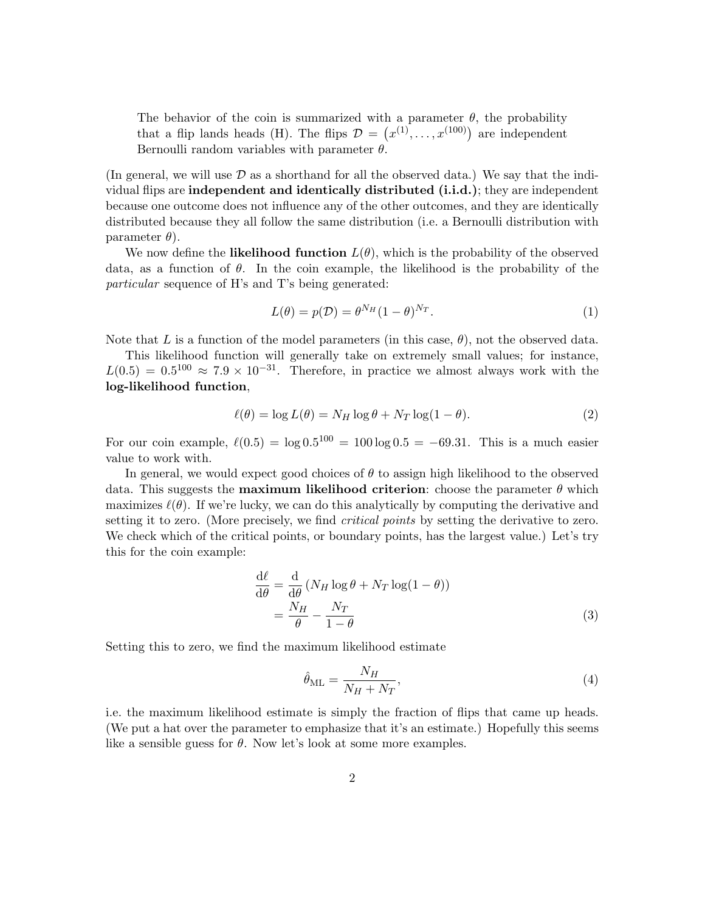The behavior of the coin is summarized with a parameter  $\theta$ , the probability that a flip lands heads (H). The flips  $\mathcal{D} = (x^{(1)}, \ldots, x^{(100)})$  are independent Bernoulli random variables with parameter  $\theta$ .

(In general, we will use  $\mathcal D$  as a shorthand for all the observed data.) We say that the individual flips are independent and identically distributed (i.i.d.); they are independent because one outcome does not influence any of the other outcomes, and they are identically distributed because they all follow the same distribution (i.e. a Bernoulli distribution with parameter  $\theta$ ).

We now define the **likelihood function**  $L(\theta)$ , which is the probability of the observed data, as a function of  $\theta$ . In the coin example, the likelihood is the probability of the particular sequence of H's and T's being generated:

$$
L(\theta) = p(\mathcal{D}) = \theta^{N_H} (1 - \theta)^{N_T}.
$$
\n(1)

Note that L is a function of the model parameters (in this case,  $\theta$ ), not the observed data.

This likelihood function will generally take on extremely small values; for instance,  $L(0.5) = 0.5^{100} \approx 7.9 \times 10^{-31}$ . Therefore, in practice we almost always work with the log-likelihood function,

$$
\ell(\theta) = \log L(\theta) = N_H \log \theta + N_T \log(1 - \theta). \tag{2}
$$

For our coin example,  $\ell(0.5) = \log 0.5^{100} = 100 \log 0.5 = -69.31$ . This is a much easier value to work with.

In general, we would expect good choices of  $\theta$  to assign high likelihood to the observed data. This suggests the **maximum likelihood criterion**: choose the parameter  $\theta$  which maximizes  $\ell(\theta)$ . If we're lucky, we can do this analytically by computing the derivative and setting it to zero. (More precisely, we find *critical points* by setting the derivative to zero. We check which of the critical points, or boundary points, has the largest value.) Let's try this for the coin example:

$$
\frac{d\ell}{d\theta} = \frac{d}{d\theta} \left( N_H \log \theta + N_T \log(1 - \theta) \right) \n= \frac{N_H}{\theta} - \frac{N_T}{1 - \theta}
$$
\n(3)

Setting this to zero, we find the maximum likelihood estimate

$$
\hat{\theta}_{\rm ML} = \frac{N_H}{N_H + N_T},\tag{4}
$$

i.e. the maximum likelihood estimate is simply the fraction of flips that came up heads. (We put a hat over the parameter to emphasize that it's an estimate.) Hopefully this seems like a sensible guess for  $\theta$ . Now let's look at some more examples.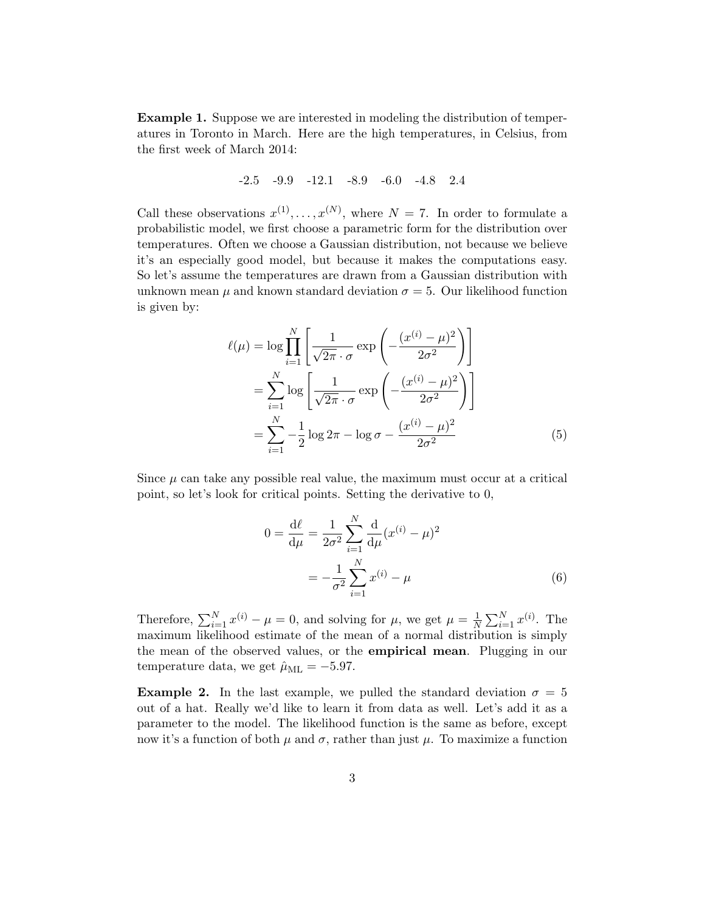Example 1. Suppose we are interested in modeling the distribution of temperatures in Toronto in March. Here are the high temperatures, in Celsius, from the first week of March 2014:

# -2.5 -9.9 -12.1 -8.9 -6.0 -4.8 2.4

Call these observations  $x^{(1)}, \ldots, x^{(N)}$ , where  $N = 7$ . In order to formulate a probabilistic model, we first choose a parametric form for the distribution over temperatures. Often we choose a Gaussian distribution, not because we believe it's an especially good model, but because it makes the computations easy. So let's assume the temperatures are drawn from a Gaussian distribution with unknown mean  $\mu$  and known standard deviation  $\sigma = 5$ . Our likelihood function is given by:

$$
\ell(\mu) = \log \prod_{i=1}^{N} \left[ \frac{1}{\sqrt{2\pi} \cdot \sigma} \exp \left( -\frac{(x^{(i)} - \mu)^2}{2\sigma^2} \right) \right]
$$
  
= 
$$
\sum_{i=1}^{N} \log \left[ \frac{1}{\sqrt{2\pi} \cdot \sigma} \exp \left( -\frac{(x^{(i)} - \mu)^2}{2\sigma^2} \right) \right]
$$
  
= 
$$
\sum_{i=1}^{N} -\frac{1}{2} \log 2\pi - \log \sigma - \frac{(x^{(i)} - \mu)^2}{2\sigma^2}
$$
(5)

Since  $\mu$  can take any possible real value, the maximum must occur at a critical point, so let's look for critical points. Setting the derivative to 0,

$$
0 = \frac{d\ell}{d\mu} = \frac{1}{2\sigma^2} \sum_{i=1}^{N} \frac{d}{d\mu} (x^{(i)} - \mu)^2
$$

$$
= -\frac{1}{\sigma^2} \sum_{i=1}^{N} x^{(i)} - \mu
$$
(6)

Therefore,  $\sum_{i=1}^{N} x^{(i)} - \mu = 0$ , and solving for  $\mu$ , we get  $\mu = \frac{1}{N}$  $\frac{1}{N} \sum_{i=1}^{N} x^{(i)}$ . The maximum likelihood estimate of the mean of a normal distribution is simply the mean of the observed values, or the empirical mean. Plugging in our temperature data, we get  $\hat{\mu}_{ML} = -5.97$ .

**Example 2.** In the last example, we pulled the standard deviation  $\sigma = 5$ out of a hat. Really we'd like to learn it from data as well. Let's add it as a parameter to the model. The likelihood function is the same as before, except now it's a function of both  $\mu$  and  $\sigma$ , rather than just  $\mu$ . To maximize a function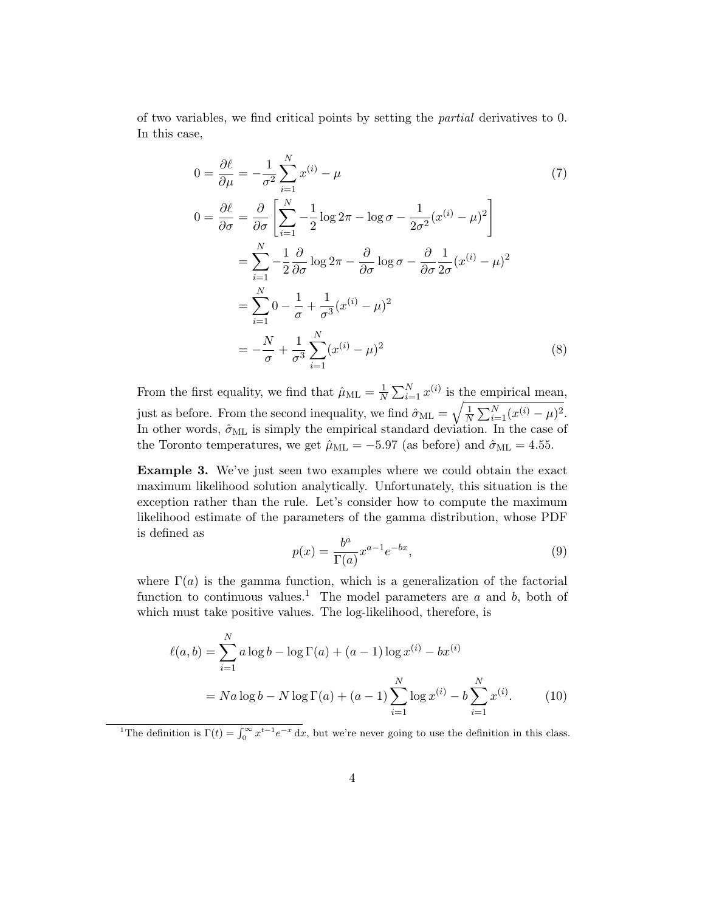of two variables, we find critical points by setting the partial derivatives to 0. In this case,

$$
0 = \frac{\partial \ell}{\partial \mu} = -\frac{1}{\sigma^2} \sum_{i=1}^{N} x^{(i)} - \mu
$$
\n
$$
0 = \frac{\partial \ell}{\partial \sigma} = \frac{\partial}{\partial \sigma} \left[ \sum_{i=1}^{N} -\frac{1}{2} \log 2\pi - \log \sigma - \frac{1}{2\sigma^2} (x^{(i)} - \mu)^2 \right]
$$
\n
$$
= \sum_{i=1}^{N} -\frac{1}{2} \frac{\partial}{\partial \sigma} \log 2\pi - \frac{\partial}{\partial \sigma} \log \sigma - \frac{\partial}{\partial \sigma} \frac{1}{2\sigma} (x^{(i)} - \mu)^2
$$
\n
$$
= \sum_{i=1}^{N} 0 - \frac{1}{\sigma} + \frac{1}{\sigma^3} (x^{(i)} - \mu)^2
$$
\n
$$
= -\frac{N}{\sigma} + \frac{1}{\sigma^3} \sum_{i=1}^{N} (x^{(i)} - \mu)^2
$$
\n(8)

From the first equality, we find that  $\hat{\mu}_{ML} = \frac{1}{N}$  $\frac{1}{N} \sum_{i=1}^{N} x^{(i)}$  is the empirical mean, just as before. From the second inequality, we find  $\hat{\sigma}_{ML} = \sqrt{\frac{1}{N}}$  $\frac{1}{N} \sum_{i=1}^{N} (x^{(i)} - \mu)^2$ . In other words,  $\hat{\sigma}_{ML}$  is simply the empirical standard deviation. In the case of the Toronto temperatures, we get  $\hat{\mu}_{ML} = -5.97$  (as before) and  $\hat{\sigma}_{ML} = 4.55$ .

Example 3. We've just seen two examples where we could obtain the exact maximum likelihood solution analytically. Unfortunately, this situation is the exception rather than the rule. Let's consider how to compute the maximum likelihood estimate of the parameters of the gamma distribution, whose PDF is defined as

$$
p(x) = \frac{b^a}{\Gamma(a)} x^{a-1} e^{-bx},\tag{9}
$$

where  $\Gamma(a)$  is the gamma function, which is a generalization of the factorial function to continuous values.<sup>1</sup> The model parameters are  $a$  and  $b$ , both of which must take positive values. The log-likelihood, therefore, is

$$
\ell(a, b) = \sum_{i=1}^{N} a \log b - \log \Gamma(a) + (a - 1) \log x^{(i)} - bx^{(i)}
$$

$$
= Na \log b - N \log \Gamma(a) + (a - 1) \sum_{i=1}^{N} \log x^{(i)} - b \sum_{i=1}^{N} x^{(i)}.
$$
(10)

<sup>&</sup>lt;sup>1</sup>The definition is  $\Gamma(t) = \int_0^\infty x^{t-1} e^{-x} dx$ , but we're never going to use the definition in this class.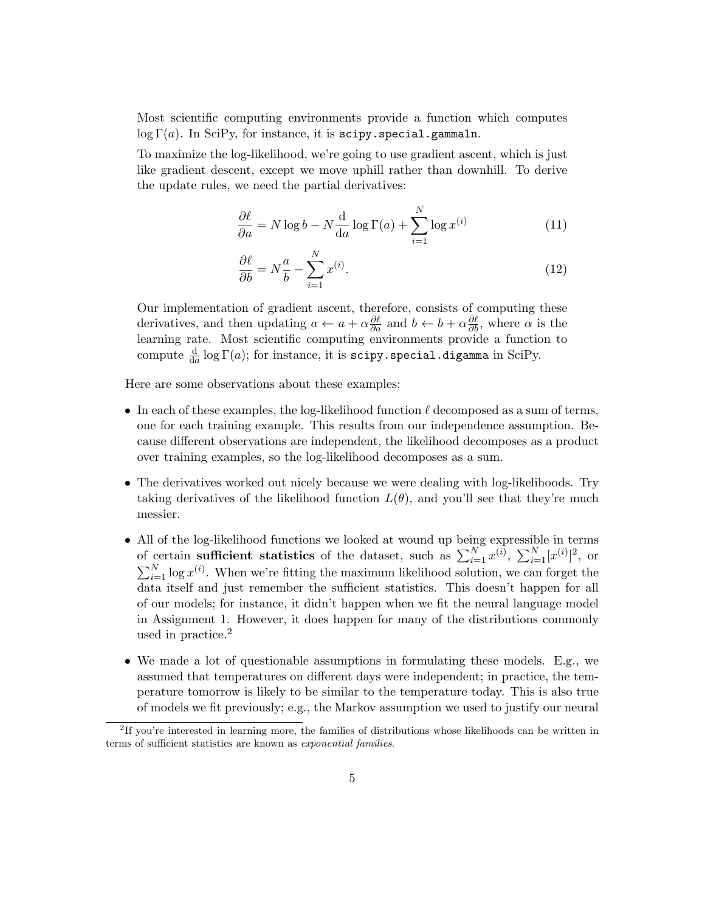Most scientific computing environments provide a function which computes  $\log \Gamma(a)$ . In SciPy, for instance, it is scipy.special.gammaln.

To maximize the log-likelihood, we're going to use gradient ascent, which is just like gradient descent, except we move uphill rather than downhill. To derive the update rules, we need the partial derivatives:

$$
\frac{\partial \ell}{\partial a} = N \log b - N \frac{d}{da} \log \Gamma(a) + \sum_{i=1}^{N} \log x^{(i)} \tag{11}
$$

$$
\frac{\partial \ell}{\partial b} = N \frac{a}{b} - \sum_{i=1}^{N} x^{(i)}.
$$
\n(12)

Our implementation of gradient ascent, therefore, consists of computing these derivatives, and then updating  $a \leftarrow a + \alpha \frac{\partial \ell}{\partial a}$  and  $b \leftarrow b + \alpha \frac{\partial \ell}{\partial b}$ , where  $\alpha$  is the learning rate. Most scientific computing environments provide a function to compute  $\frac{\mathrm{d}}{\mathrm{d}a}\log\Gamma(a)$ ; for instance, it is scipy.special.digamma in SciPy.

Here are some observations about these examples:

- In each of these examples, the log-likelihood function  $\ell$  decomposed as a sum of terms, one for each training example. This results from our independence assumption. Because different observations are independent, the likelihood decomposes as a product over training examples, so the log-likelihood decomposes as a sum.
- The derivatives worked out nicely because we were dealing with log-likelihoods. Try taking derivatives of the likelihood function  $L(\theta)$ , and you'll see that they're much messier.
- All of the log-likelihood functions we looked at wound up being expressible in terms of certain sufficient statistics of the dataset, such as  $\sum_{i=1}^{N} x^{(i)}$ ,  $\sum_{i=1}^{N} [x^{(i)}]^2$ , or  $\sum_{i=1}^{N} \log x^{(i)}$ . When we're fitting the maximum likelihood solution, we can forget the data itself and just remember the sufficient statistics. This doesn't happen for all of our models; for instance, it didn't happen when we fit the neural language model in Assignment 1. However, it does happen for many of the distributions commonly used in practice.<sup>2</sup>
- We made a lot of questionable assumptions in formulating these models. E.g., we assumed that temperatures on different days were independent; in practice, the temperature tomorrow is likely to be similar to the temperature today. This is also true of models we fit previously; e.g., the Markov assumption we used to justify our neural

<sup>&</sup>lt;sup>2</sup>If you're interested in learning more, the families of distributions whose likelihoods can be written in terms of sufficient statistics are known as exponential families.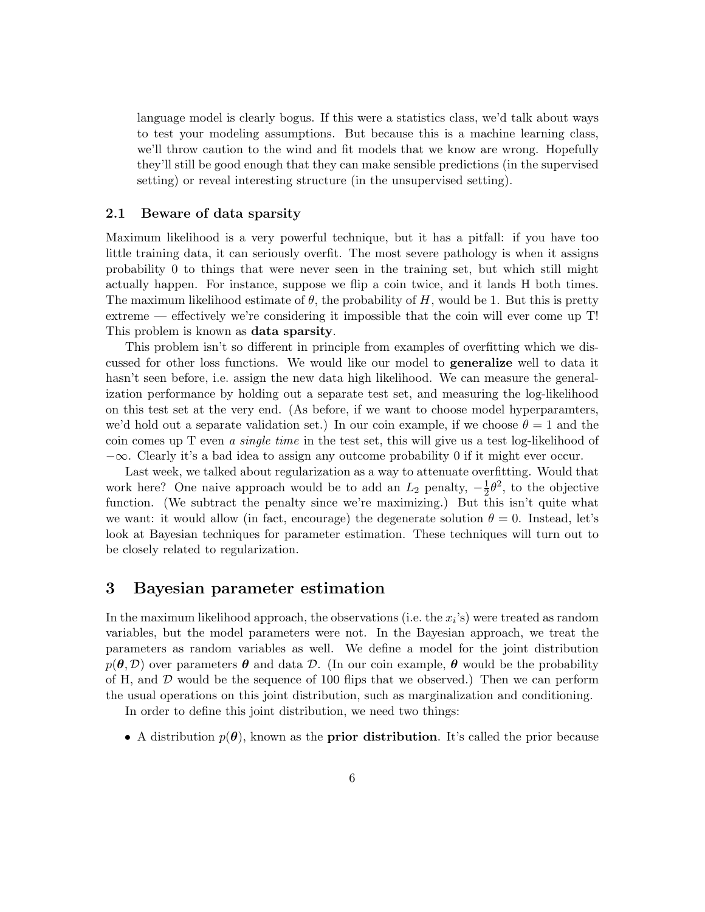language model is clearly bogus. If this were a statistics class, we'd talk about ways to test your modeling assumptions. But because this is a machine learning class, we'll throw caution to the wind and fit models that we know are wrong. Hopefully they'll still be good enough that they can make sensible predictions (in the supervised setting) or reveal interesting structure (in the unsupervised setting).

#### 2.1 Beware of data sparsity

Maximum likelihood is a very powerful technique, but it has a pitfall: if you have too little training data, it can seriously overfit. The most severe pathology is when it assigns probability 0 to things that were never seen in the training set, but which still might actually happen. For instance, suppose we flip a coin twice, and it lands H both times. The maximum likelihood estimate of  $\theta$ , the probability of H, would be 1. But this is pretty extreme — effectively we're considering it impossible that the coin will ever come up T! This problem is known as data sparsity.

This problem isn't so different in principle from examples of overfitting which we discussed for other loss functions. We would like our model to generalize well to data it hasn't seen before, i.e. assign the new data high likelihood. We can measure the generalization performance by holding out a separate test set, and measuring the log-likelihood on this test set at the very end. (As before, if we want to choose model hyperparamters, we'd hold out a separate validation set.) In our coin example, if we choose  $\theta = 1$  and the coin comes up T even a single time in the test set, this will give us a test log-likelihood of  $-\infty$ . Clearly it's a bad idea to assign any outcome probability 0 if it might ever occur.

Last week, we talked about regularization as a way to attenuate overfitting. Would that work here? One naive approach would be to add an  $L_2$  penalty,  $-\frac{1}{2}$  $\frac{1}{2}\theta^2$ , to the objective function. (We subtract the penalty since we're maximizing.) But this isn't quite what we want: it would allow (in fact, encourage) the degenerate solution  $\theta = 0$ . Instead, let's look at Bayesian techniques for parameter estimation. These techniques will turn out to be closely related to regularization.

### 3 Bayesian parameter estimation

In the maximum likelihood approach, the observations (i.e. the  $x_i$ 's) were treated as random variables, but the model parameters were not. In the Bayesian approach, we treat the parameters as random variables as well. We define a model for the joint distribution  $p(\theta, \mathcal{D})$  over parameters  $\theta$  and data  $\mathcal{D}$ . (In our coin example,  $\theta$  would be the probability of H, and  $\mathcal D$  would be the sequence of 100 flips that we observed.) Then we can perform the usual operations on this joint distribution, such as marginalization and conditioning.

In order to define this joint distribution, we need two things:

• A distribution  $p(\theta)$ , known as the **prior distribution**. It's called the prior because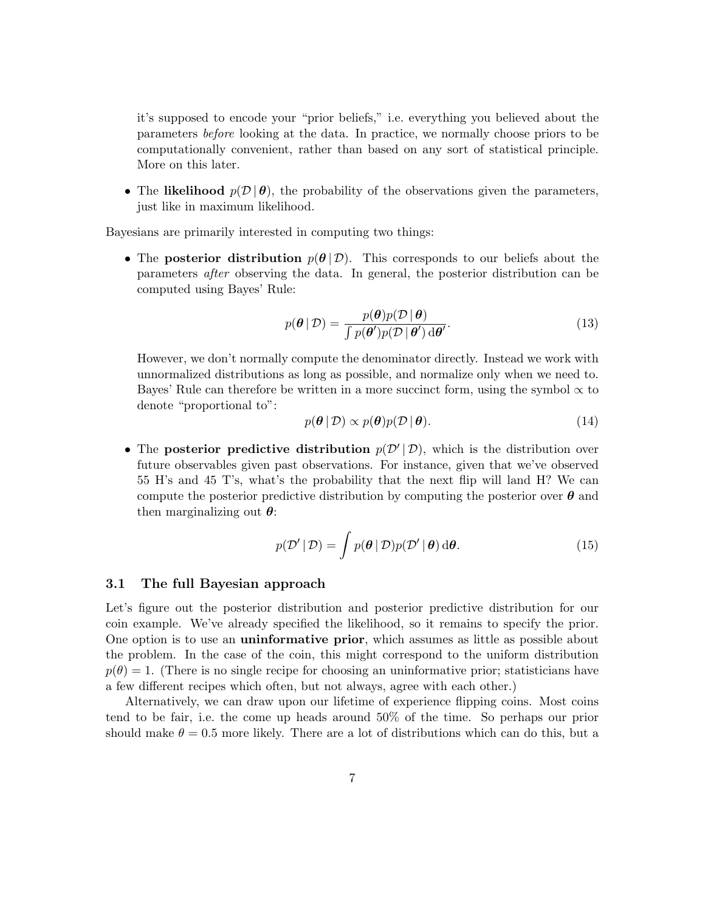it's supposed to encode your "prior beliefs," i.e. everything you believed about the parameters before looking at the data. In practice, we normally choose priors to be computationally convenient, rather than based on any sort of statistical principle. More on this later.

• The likelihood  $p(\mathcal{D} | \theta)$ , the probability of the observations given the parameters, just like in maximum likelihood.

Bayesians are primarily interested in computing two things:

• The posterior distribution  $p(\theta | \mathcal{D})$ . This corresponds to our beliefs about the parameters after observing the data. In general, the posterior distribution can be computed using Bayes' Rule:

$$
p(\boldsymbol{\theta} \mid \mathcal{D}) = \frac{p(\boldsymbol{\theta})p(\mathcal{D} \mid \boldsymbol{\theta})}{\int p(\boldsymbol{\theta}')p(\mathcal{D} \mid \boldsymbol{\theta}') d\boldsymbol{\theta}'}.
$$
\n(13)

However, we don't normally compute the denominator directly. Instead we work with unnormalized distributions as long as possible, and normalize only when we need to. Bayes' Rule can therefore be written in a more succinct form, using the symbol  $\propto$  to denote "proportional to":

$$
p(\boldsymbol{\theta} \mid \mathcal{D}) \propto p(\boldsymbol{\theta}) p(\mathcal{D} \mid \boldsymbol{\theta}). \tag{14}
$$

• The posterior predictive distribution  $p(\mathcal{D}' | \mathcal{D})$ , which is the distribution over future observables given past observations. For instance, given that we've observed 55 H's and 45 T's, what's the probability that the next flip will land H? We can compute the posterior predictive distribution by computing the posterior over  $\theta$  and then marginalizing out  $\theta$ :

$$
p(\mathcal{D}' | \mathcal{D}) = \int p(\boldsymbol{\theta} | \mathcal{D}) p(\mathcal{D}' | \boldsymbol{\theta}) d\boldsymbol{\theta}.
$$
 (15)

#### 3.1 The full Bayesian approach

Let's figure out the posterior distribution and posterior predictive distribution for our coin example. We've already specified the likelihood, so it remains to specify the prior. One option is to use an uninformative prior, which assumes as little as possible about the problem. In the case of the coin, this might correspond to the uniform distribution  $p(\theta) = 1$ . (There is no single recipe for choosing an uninformative prior; statisticians have a few different recipes which often, but not always, agree with each other.)

Alternatively, we can draw upon our lifetime of experience flipping coins. Most coins tend to be fair, i.e. the come up heads around 50% of the time. So perhaps our prior should make  $\theta = 0.5$  more likely. There are a lot of distributions which can do this, but a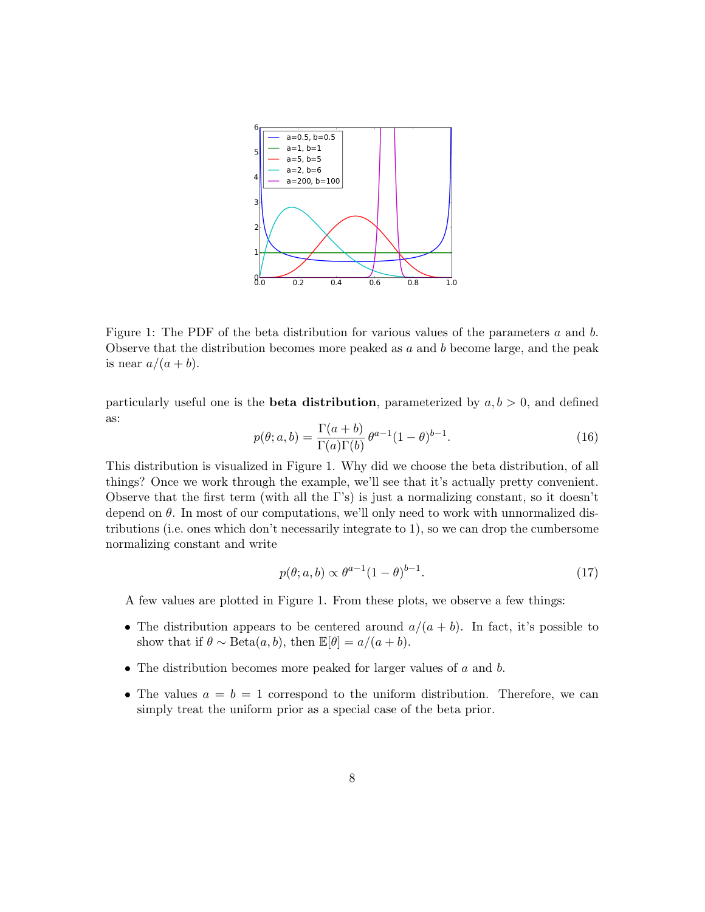

Figure 1: The PDF of the beta distribution for various values of the parameters  $a$  and  $b$ . Observe that the distribution becomes more peaked as  $a$  and  $b$  become large, and the peak is near  $a/(a + b)$ .

particularly useful one is the **beta distribution**, parameterized by  $a, b > 0$ , and defined as:

$$
p(\theta; a, b) = \frac{\Gamma(a+b)}{\Gamma(a)\Gamma(b)} \theta^{a-1} (1-\theta)^{b-1}.
$$
 (16)

This distribution is visualized in Figure 1. Why did we choose the beta distribution, of all things? Once we work through the example, we'll see that it's actually pretty convenient. Observe that the first term (with all the Γ's) is just a normalizing constant, so it doesn't depend on  $\theta$ . In most of our computations, we'll only need to work with unnormalized distributions (i.e. ones which don't necessarily integrate to 1), so we can drop the cumbersome normalizing constant and write

$$
p(\theta; a, b) \propto \theta^{a-1} (1-\theta)^{b-1}.
$$
\n(17)

A few values are plotted in Figure 1. From these plots, we observe a few things:

- The distribution appears to be centered around  $a/(a + b)$ . In fact, it's possible to show that if  $\theta \sim \text{Beta}(a, b)$ , then  $\mathbb{E}[\theta] = a/(a + b)$ .
- The distribution becomes more peaked for larger values of  $a$  and  $b$ .
- The values  $a = b = 1$  correspond to the uniform distribution. Therefore, we can simply treat the uniform prior as a special case of the beta prior.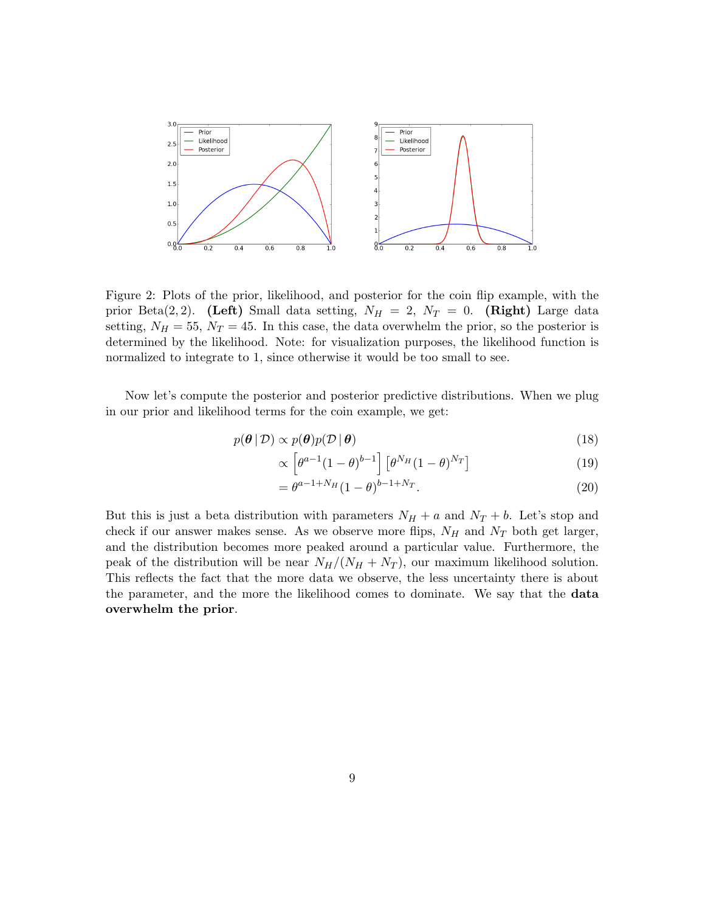

Figure 2: Plots of the prior, likelihood, and posterior for the coin flip example, with the prior Beta(2,2). (Left) Small data setting,  $N_H = 2$ ,  $N_T = 0$ . (Right) Large data setting,  $N_H = 55$ ,  $N_T = 45$ . In this case, the data overwhelm the prior, so the posterior is determined by the likelihood. Note: for visualization purposes, the likelihood function is normalized to integrate to 1, since otherwise it would be too small to see.

Now let's compute the posterior and posterior predictive distributions. When we plug in our prior and likelihood terms for the coin example, we get:

$$
p(\theta | \mathcal{D}) \propto p(\theta) p(\mathcal{D} | \theta)
$$
\n(18)

$$
\propto \left[\theta^{a-1}(1-\theta)^{b-1}\right] \left[\theta^{N_H}(1-\theta)^{N_T}\right] \tag{19}
$$

$$
= \theta^{a-1+N_H} (1-\theta)^{b-1+N_T}.
$$
\n(20)

But this is just a beta distribution with parameters  $N_H + a$  and  $N_T + b$ . Let's stop and check if our answer makes sense. As we observe more flips,  $N_H$  and  $N_T$  both get larger, and the distribution becomes more peaked around a particular value. Furthermore, the peak of the distribution will be near  $N_H/(N_H + N_T)$ , our maximum likelihood solution. This reflects the fact that the more data we observe, the less uncertainty there is about the parameter, and the more the likelihood comes to dominate. We say that the data overwhelm the prior.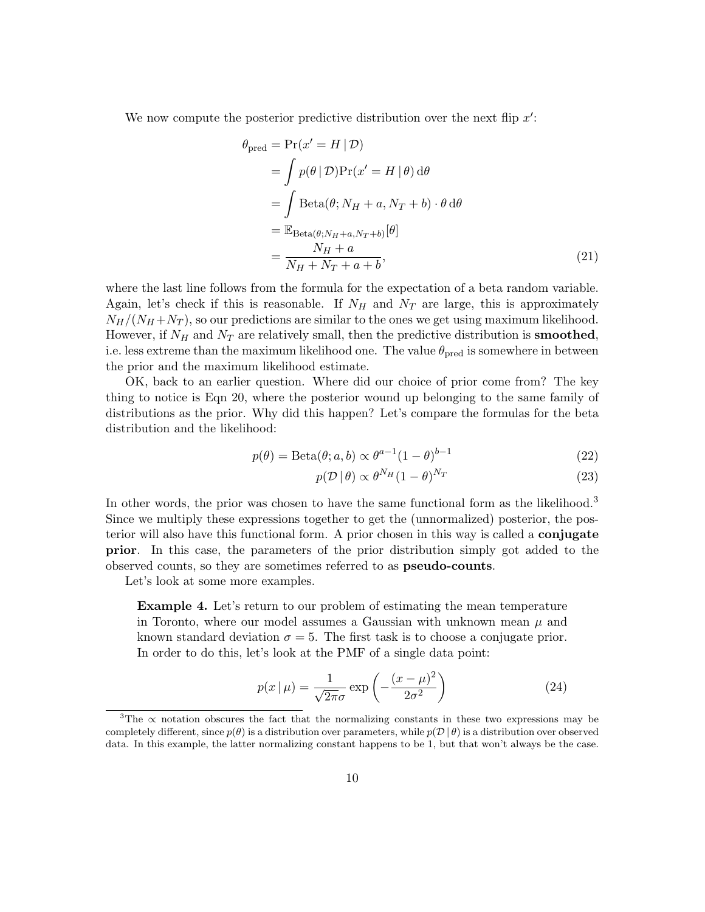We now compute the posterior predictive distribution over the next flip  $x'$ :

$$
\theta_{\text{pred}} = \Pr(x' = H | \mathcal{D})
$$
\n
$$
= \int p(\theta | \mathcal{D}) \Pr(x' = H | \theta) d\theta
$$
\n
$$
= \int \text{Beta}(\theta; N_H + a, N_T + b) \cdot \theta d\theta
$$
\n
$$
= \mathbb{E}_{\text{Beta}(\theta; N_H + a, N_T + b)}[\theta]
$$
\n
$$
= \frac{N_H + a}{N_H + N_T + a + b}, \tag{21}
$$

where the last line follows from the formula for the expectation of a beta random variable. Again, let's check if this is reasonable. If  $N_H$  and  $N_T$  are large, this is approximately  $N_H/(N_H + N_T)$ , so our predictions are similar to the ones we get using maximum likelihood. However, if  $N_H$  and  $N_T$  are relatively small, then the predictive distribution is **smoothed**, i.e. less extreme than the maximum likelihood one. The value  $\theta_{pred}$  is somewhere in between the prior and the maximum likelihood estimate.

OK, back to an earlier question. Where did our choice of prior come from? The key thing to notice is Eqn 20, where the posterior wound up belonging to the same family of distributions as the prior. Why did this happen? Let's compare the formulas for the beta distribution and the likelihood:

$$
p(\theta) = \text{Beta}(\theta; a, b) \propto \theta^{a-1} (1 - \theta)^{b-1}
$$
\n(22)

$$
p(\mathcal{D} \mid \theta) \propto \theta^{N_H} (1 - \theta)^{N_T} \tag{23}
$$

In other words, the prior was chosen to have the same functional form as the likelihood.<sup>3</sup> Since we multiply these expressions together to get the (unnormalized) posterior, the posterior will also have this functional form. A prior chosen in this way is called a conjugate prior. In this case, the parameters of the prior distribution simply got added to the observed counts, so they are sometimes referred to as pseudo-counts.

Let's look at some more examples.

Example 4. Let's return to our problem of estimating the mean temperature in Toronto, where our model assumes a Gaussian with unknown mean  $\mu$  and known standard deviation  $\sigma = 5$ . The first task is to choose a conjugate prior. In order to do this, let's look at the PMF of a single data point:

$$
p(x \mid \mu) = \frac{1}{\sqrt{2\pi}\sigma} \exp\left(-\frac{(x-\mu)^2}{2\sigma^2}\right) \tag{24}
$$

<sup>&</sup>lt;sup>3</sup>The  $\alpha$  notation obscures the fact that the normalizing constants in these two expressions may be completely different, since  $p(\theta)$  is a distribution over parameters, while  $p(\mathcal{D} | \theta)$  is a distribution over observed data. In this example, the latter normalizing constant happens to be 1, but that won't always be the case.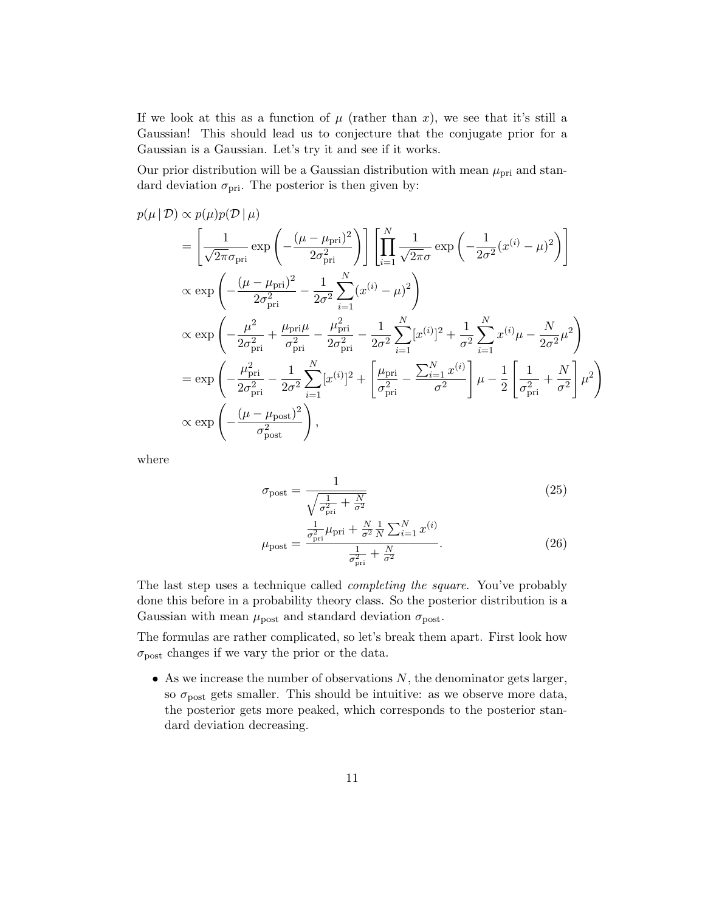If we look at this as a function of  $\mu$  (rather than x), we see that it's still a Gaussian! This should lead us to conjecture that the conjugate prior for a Gaussian is a Gaussian. Let's try it and see if it works.

Our prior distribution will be a Gaussian distribution with mean  $\mu_{\text{pri}}$  and standard deviation  $\sigma_{\text{pri}}$ . The posterior is then given by:

$$
p(\mu | \mathcal{D}) \propto p(\mu) p(\mathcal{D} | \mu)
$$
  
\n
$$
= \left[ \frac{1}{\sqrt{2\pi} \sigma_{\text{pri}}} \exp \left( -\frac{(\mu - \mu_{\text{pri}})^2}{2\sigma_{\text{pri}}^2} \right) \right] \left[ \prod_{i=1}^N \frac{1}{\sqrt{2\pi} \sigma} \exp \left( -\frac{1}{2\sigma^2} (x^{(i)} - \mu)^2 \right) \right]
$$
  
\n
$$
\propto \exp \left( -\frac{(\mu - \mu_{\text{pri}})^2}{2\sigma_{\text{pri}}^2} - \frac{1}{2\sigma^2} \sum_{i=1}^N (x^{(i)} - \mu)^2 \right)
$$
  
\n
$$
\propto \exp \left( -\frac{\mu^2}{2\sigma_{\text{pri}}^2} + \frac{\mu_{\text{pri}}\mu}{\sigma_{\text{pri}}^2} - \frac{\mu_{\text{pri}}^2}{2\sigma_{\text{pri}}^2} - \frac{1}{2\sigma^2} \sum_{i=1}^N [x^{(i)}]^2 + \frac{1}{\sigma^2} \sum_{i=1}^N x^{(i)} \mu - \frac{N}{2\sigma^2} \mu^2 \right)
$$
  
\n
$$
= \exp \left( -\frac{\mu_{\text{pri}}^2}{2\sigma_{\text{pri}}^2} - \frac{1}{2\sigma^2} \sum_{i=1}^N [x^{(i)}]^2 + \left[ \frac{\mu_{\text{pri}}}{\sigma_{\text{pri}}^2} - \frac{\sum_{i=1}^N x^{(i)}}{\sigma^2} \right] \mu - \frac{1}{2} \left[ \frac{1}{\sigma_{\text{pri}}^2} + \frac{N}{\sigma^2} \right] \mu^2 \right)
$$
  
\n
$$
\propto \exp \left( -\frac{(\mu - \mu_{\text{post}})^2}{\sigma_{\text{post}}^2} \right),
$$

where

$$
\sigma_{\text{post}} = \frac{1}{\sqrt{\frac{1}{\sigma_{\text{pri}}^2} + \frac{N}{\sigma^2}}} \tag{25}
$$
\n
$$
\frac{1}{2\pi} \mu_{\text{pri}} + \frac{N}{\sigma^2} \frac{1}{N} \sum_{i=1}^{N} x^{(i)}
$$

$$
\mu_{\text{post}} = \frac{\frac{1}{\sigma_{\text{pri}}^2} \mu_{\text{pri}} + \frac{N}{\sigma^2} \frac{1}{N} \sum_{i=1}^N x^{(i)}}{\frac{1}{\sigma_{\text{pri}}^2} + \frac{N}{\sigma^2}}.
$$
(26)

The last step uses a technique called completing the square. You've probably done this before in a probability theory class. So the posterior distribution is a Gaussian with mean  $\mu_{\text{post}}$  and standard deviation  $\sigma_{\text{post}}$ .

The formulas are rather complicated, so let's break them apart. First look how  $\sigma_{\text{post}}$  changes if we vary the prior or the data.

• As we increase the number of observations  $N$ , the denominator gets larger, so  $\sigma_{\text{post}}$  gets smaller. This should be intuitive: as we observe more data, the posterior gets more peaked, which corresponds to the posterior standard deviation decreasing.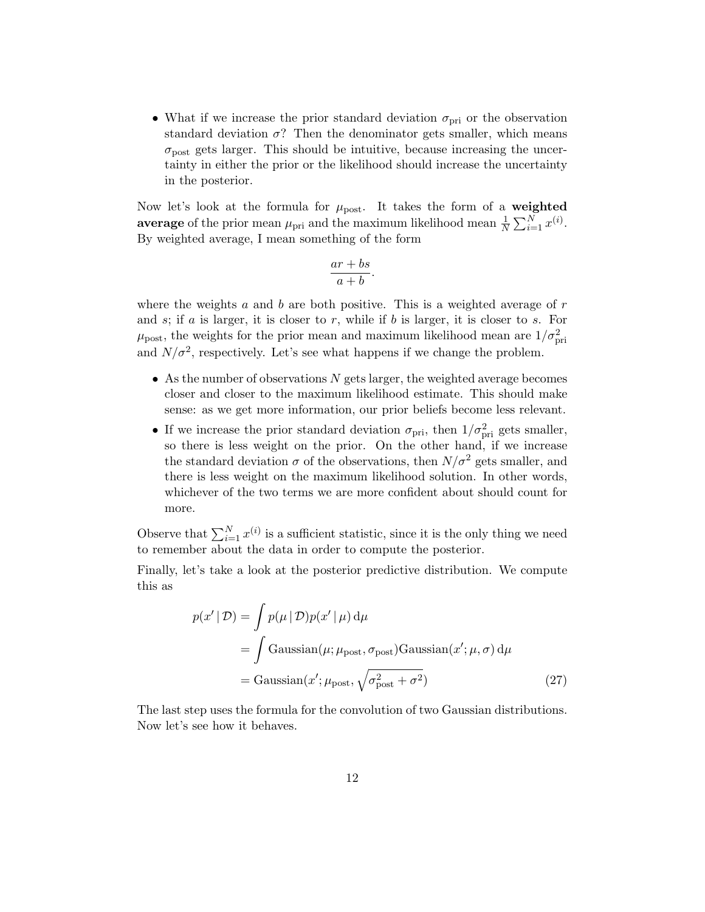• What if we increase the prior standard deviation  $\sigma_{\text{pri}}$  or the observation standard deviation  $\sigma$ ? Then the denominator gets smaller, which means  $\sigma_{\text{post}}$  gets larger. This should be intuitive, because increasing the uncertainty in either the prior or the likelihood should increase the uncertainty in the posterior.

Now let's look at the formula for  $\mu_{\text{post}}$ . It takes the form of a weighted average of the prior mean  $\mu_{\text{pri}}$  and the maximum likelihood mean  $\frac{1}{N} \sum_{i=1}^{N} x^{(i)}$ . By weighted average, I mean something of the form

$$
\frac{ar+bs}{a+b}.
$$

where the weights  $a$  and  $b$  are both positive. This is a weighted average of  $r$ and  $s$ ; if  $a$  is larger, it is closer to  $r$ , while if  $b$  is larger, it is closer to  $s$ . For  $\mu_{\text{post}}$ , the weights for the prior mean and maximum likelihood mean are  $1/\sigma_{\text{pri}}^2$ and  $N/\sigma^2$ , respectively. Let's see what happens if we change the problem.

- As the number of observations  $N$  gets larger, the weighted average becomes closer and closer to the maximum likelihood estimate. This should make sense: as we get more information, our prior beliefs become less relevant.
- If we increase the prior standard deviation  $\sigma_{\text{pri}}$ , then  $1/\sigma_{\text{pri}}^2$  gets smaller, so there is less weight on the prior. On the other hand, if we increase the standard deviation  $\sigma$  of the observations, then  $N/\sigma^2$  gets smaller, and there is less weight on the maximum likelihood solution. In other words, whichever of the two terms we are more confident about should count for more.

Observe that  $\sum_{i=1}^{N} x^{(i)}$  is a sufficient statistic, since it is the only thing we need to remember about the data in order to compute the posterior.

Finally, let's take a look at the posterior predictive distribution. We compute this as

$$
p(x' | \mathcal{D}) = \int p(\mu | \mathcal{D}) p(x' | \mu) d\mu
$$
  
= 
$$
\int \text{Gaussian}(\mu; \mu_{\text{post}}, \sigma_{\text{post}}) \text{Gaussian}(x'; \mu, \sigma) d\mu
$$
  
= 
$$
\text{Gaussian}(x'; \mu_{\text{post}}, \sqrt{\sigma_{\text{post}}^2 + \sigma^2})
$$
(27)

The last step uses the formula for the convolution of two Gaussian distributions. Now let's see how it behaves.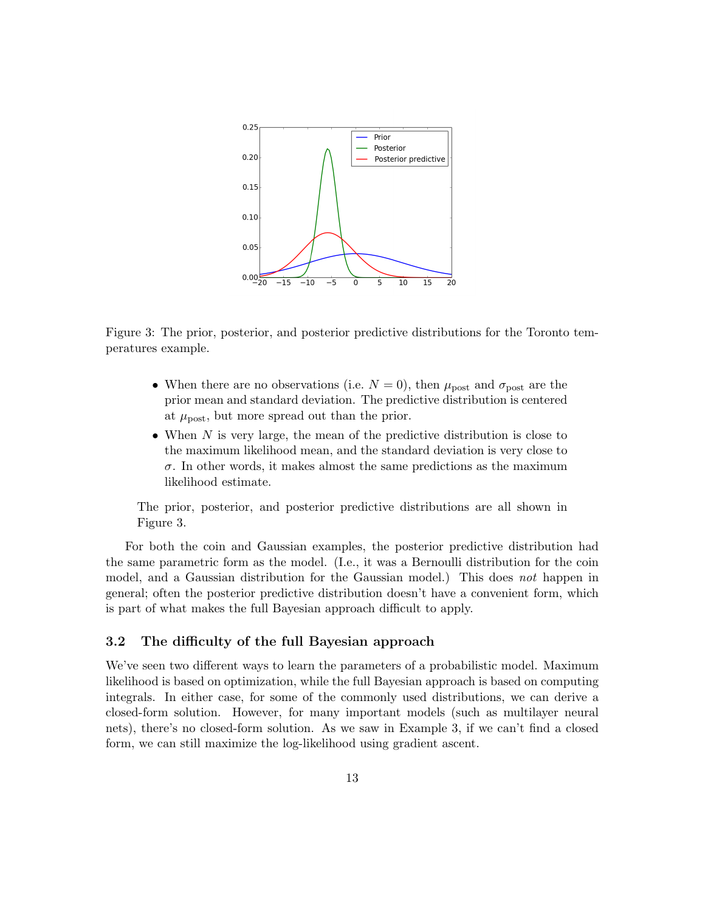

Figure 3: The prior, posterior, and posterior predictive distributions for the Toronto temperatures example.

- When there are no observations (i.e.  $N = 0$ ), then  $\mu_{\text{post}}$  and  $\sigma_{\text{post}}$  are the prior mean and standard deviation. The predictive distribution is centered at  $\mu_{\text{post}}$ , but more spread out than the prior.
- When N is very large, the mean of the predictive distribution is close to the maximum likelihood mean, and the standard deviation is very close to  $\sigma$ . In other words, it makes almost the same predictions as the maximum likelihood estimate.

The prior, posterior, and posterior predictive distributions are all shown in Figure 3.

For both the coin and Gaussian examples, the posterior predictive distribution had the same parametric form as the model. (I.e., it was a Bernoulli distribution for the coin model, and a Gaussian distribution for the Gaussian model.) This does not happen in general; often the posterior predictive distribution doesn't have a convenient form, which is part of what makes the full Bayesian approach difficult to apply.

### 3.2 The difficulty of the full Bayesian approach

We've seen two different ways to learn the parameters of a probabilistic model. Maximum likelihood is based on optimization, while the full Bayesian approach is based on computing integrals. In either case, for some of the commonly used distributions, we can derive a closed-form solution. However, for many important models (such as multilayer neural nets), there's no closed-form solution. As we saw in Example 3, if we can't find a closed form, we can still maximize the log-likelihood using gradient ascent.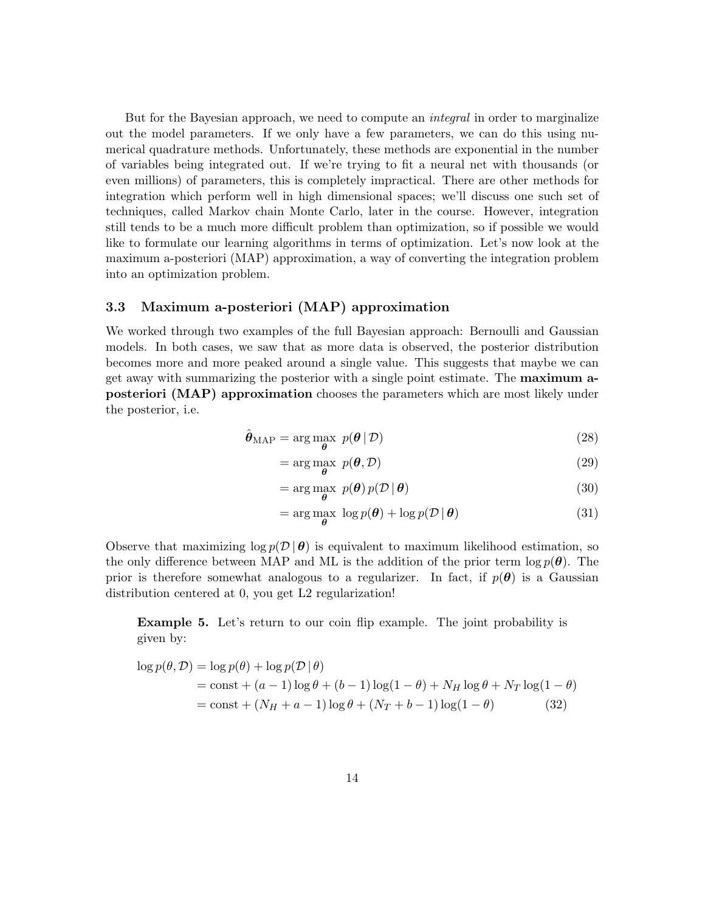But for the Bayesian approach, we need to compute an *integral* in order to marginalize out the model parameters. If we only have a few parameters, we can do this using numerical quadrature methods. Unfortunately, these methods are exponential in the number of variables being integrated out. If we're trying to fit a neural net with thousands (or even millions) of parameters, this is completely impractical. There are other methods for integration which perform well in high dimensional spaces; we'll discuss one such set of techniques, called Markov chain Monte Carlo, later in the course. However, integration still tends to be a much more difficult problem than optimization, so if possible we would like to formulate our learning algorithms in terms of optimization. Let's now look at the maximum a-posteriori (MAP) approximation, a way of converting the integration problem into an optimization problem.

### 3.3 Maximum a-posteriori (MAP) approximation

We worked through two examples of the full Bayesian approach: Bernoulli and Gaussian models. In both cases, we saw that as more data is observed, the posterior distribution becomes more and more peaked around a single value. This suggests that maybe we can get away with summarizing the posterior with a single point estimate. The maximum aposteriori (MAP) approximation chooses the parameters which are most likely under the posterior, i.e.

$$
\hat{\theta}_{\text{MAP}} = \arg\max_{\theta} \ p(\theta \mid \mathcal{D}) \tag{28}
$$

$$
= \arg\max_{\boldsymbol{\theta}} \ p(\boldsymbol{\theta}, \mathcal{D}) \tag{29}
$$

$$
= \arg\max_{\boldsymbol{\theta}} \ p(\boldsymbol{\theta}) p(\mathcal{D} \mid \boldsymbol{\theta}) \tag{30}
$$

$$
= \arg\max_{\boldsymbol{\theta}} \log p(\boldsymbol{\theta}) + \log p(\mathcal{D} \mid \boldsymbol{\theta}) \tag{31}
$$

Observe that maximizing  $\log p(\mathcal{D}|\theta)$  is equivalent to maximum likelihood estimation, so the only difference between MAP and ML is the addition of the prior term  $\log p(\theta)$ . The prior is therefore somewhat analogous to a regularizer. In fact, if  $p(\theta)$  is a Gaussian distribution centered at 0, you get L2 regularization!

Example 5. Let's return to our coin flip example. The joint probability is given by:

$$
\log p(\theta, \mathcal{D}) = \log p(\theta) + \log p(\mathcal{D} | \theta)
$$
  
= const + (a - 1) log  $\theta$  + (b - 1) log(1 -  $\theta$ ) + N<sub>H</sub> log  $\theta$  + N<sub>T</sub> log(1 -  $\theta$ )  
= const + (N<sub>H</sub> + a - 1) log  $\theta$  + (N<sub>T</sub> + b - 1) log(1 -  $\theta$ ) (32)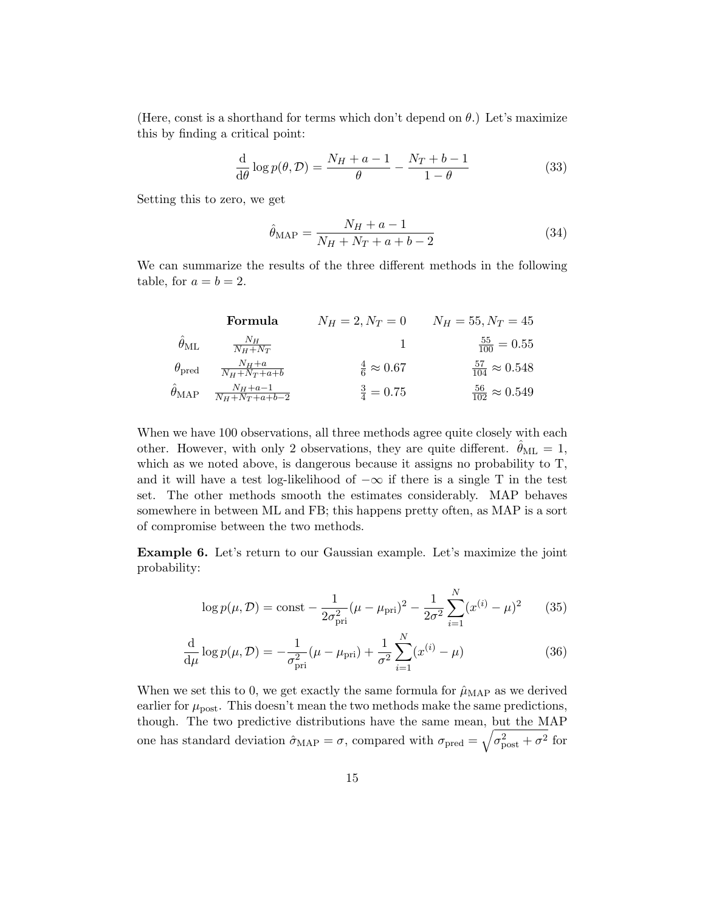(Here, const is a shorthand for terms which don't depend on  $\theta$ .) Let's maximize this by finding a critical point:

$$
\frac{\mathrm{d}}{\mathrm{d}\theta}\log p(\theta,\mathcal{D}) = \frac{N_H + a - 1}{\theta} - \frac{N_T + b - 1}{1 - \theta} \tag{33}
$$

Setting this to zero, we get

$$
\hat{\theta}_{MAP} = \frac{N_H + a - 1}{N_H + N_T + a + b - 2} \tag{34}
$$

We can summarize the results of the three different methods in the following table, for  $a = b = 2$ .

| Formula              | $N_H = 2, N_T = 0$                          | $N_H = 55, N_T = 45$       |                                |
|----------------------|---------------------------------------------|----------------------------|--------------------------------|
| $\hat{\theta}_{ML}$  | $\frac{N_H}{N_H + N_T}$                     | 1                          | $\frac{55}{100} = 0.55$        |
| $\theta_{pred}$      | $\frac{N_H + a}{N_H + N_T + a + b}$         | $\frac{4}{6} \approx 0.67$ | $\frac{57}{104} \approx 0.548$ |
| $\hat{\theta}_{MAP}$ | $\frac{N_H + a - 1}{N_H + N_T + a + b - 2}$ | $\frac{3}{4} = 0.75$       | $\frac{56}{102} \approx 0.549$ |

When we have 100 observations, all three methods agree quite closely with each other. However, with only 2 observations, they are quite different.  $\theta_{ML} = 1$ , which as we noted above, is dangerous because it assigns no probability to T, and it will have a test log-likelihood of  $-\infty$  if there is a single T in the test set. The other methods smooth the estimates considerably. MAP behaves somewhere in between ML and FB; this happens pretty often, as MAP is a sort of compromise between the two methods.

Example 6. Let's return to our Gaussian example. Let's maximize the joint probability:

$$
\log p(\mu, \mathcal{D}) = \text{const} - \frac{1}{2\sigma_{\text{pri}}^2} (\mu - \mu_{\text{pri}})^2 - \frac{1}{2\sigma^2} \sum_{i=1}^N (x^{(i)} - \mu)^2 \tag{35}
$$

$$
\frac{\mathrm{d}}{\mathrm{d}\mu}\log p(\mu,\mathcal{D}) = -\frac{1}{\sigma_{\text{pri}}^2}(\mu - \mu_{\text{pri}}) + \frac{1}{\sigma^2}\sum_{i=1}^N(x^{(i)} - \mu) \tag{36}
$$

When we set this to 0, we get exactly the same formula for  $\hat{\mu}_{MAP}$  as we derived earlier for  $\mu_{\text{post}}$ . This doesn't mean the two methods make the same predictions, though. The two predictive distributions have the same mean, but the MAP one has standard deviation  $\hat{\sigma}_{MAP} = \sigma$ , compared with  $\sigma_{pred} = \sqrt{\sigma_{post}^2 + \sigma^2}$  for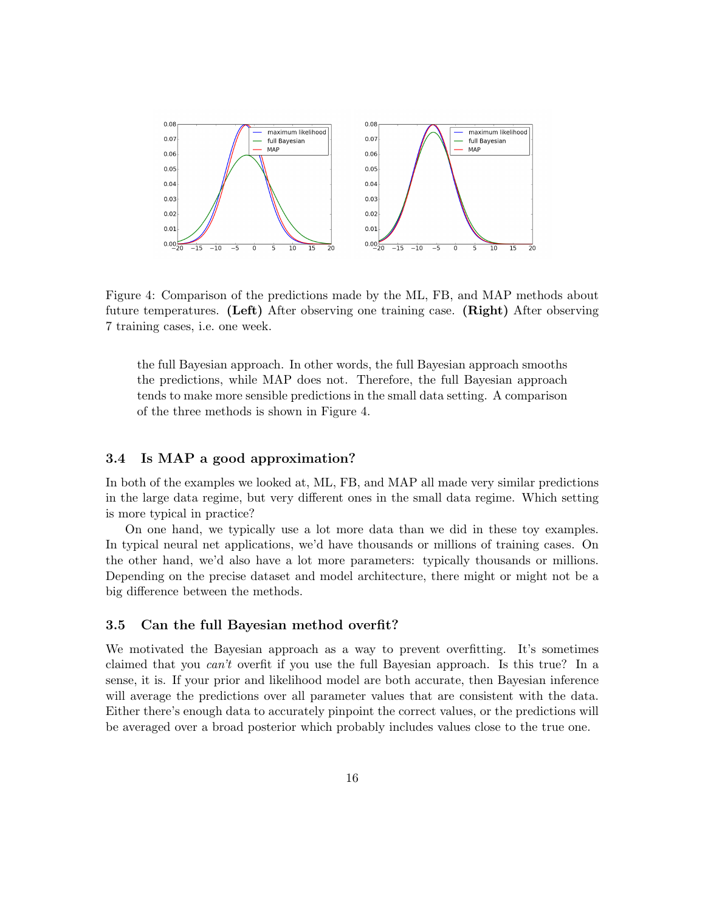

Figure 4: Comparison of the predictions made by the ML, FB, and MAP methods about future temperatures. (Left) After observing one training case. (Right) After observing 7 training cases, i.e. one week.

the full Bayesian approach. In other words, the full Bayesian approach smooths the predictions, while MAP does not. Therefore, the full Bayesian approach tends to make more sensible predictions in the small data setting. A comparison of the three methods is shown in Figure 4.

#### 3.4 Is MAP a good approximation?

In both of the examples we looked at, ML, FB, and MAP all made very similar predictions in the large data regime, but very different ones in the small data regime. Which setting is more typical in practice?

On one hand, we typically use a lot more data than we did in these toy examples. In typical neural net applications, we'd have thousands or millions of training cases. On the other hand, we'd also have a lot more parameters: typically thousands or millions. Depending on the precise dataset and model architecture, there might or might not be a big difference between the methods.

#### 3.5 Can the full Bayesian method overfit?

We motivated the Bayesian approach as a way to prevent overfitting. It's sometimes claimed that you can't overfit if you use the full Bayesian approach. Is this true? In a sense, it is. If your prior and likelihood model are both accurate, then Bayesian inference will average the predictions over all parameter values that are consistent with the data. Either there's enough data to accurately pinpoint the correct values, or the predictions will be averaged over a broad posterior which probably includes values close to the true one.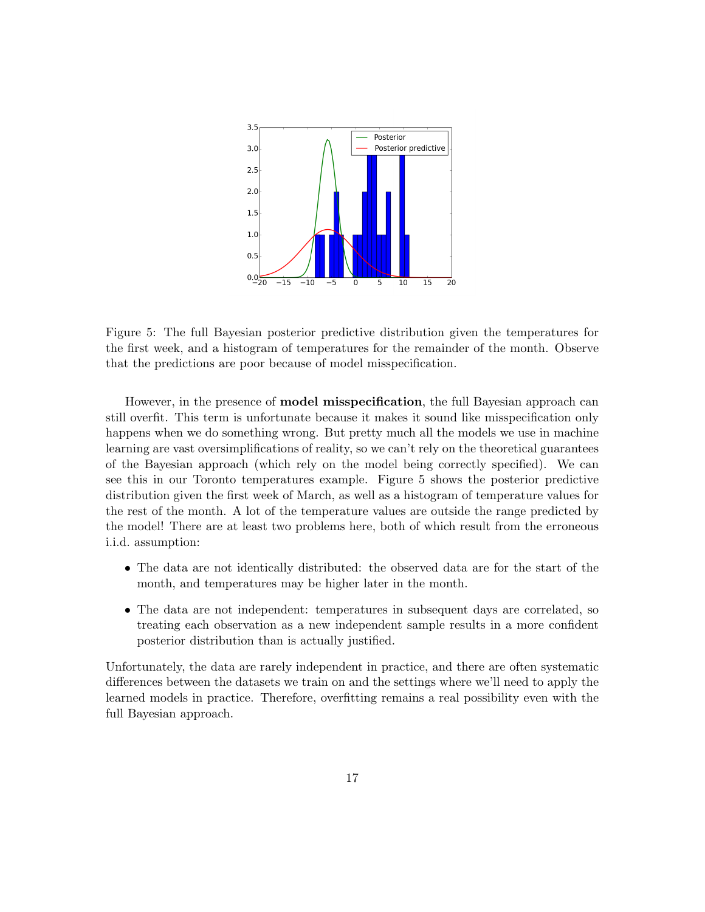

Figure 5: The full Bayesian posterior predictive distribution given the temperatures for the first week, and a histogram of temperatures for the remainder of the month. Observe that the predictions are poor because of model misspecification.

However, in the presence of model misspecification, the full Bayesian approach can still overfit. This term is unfortunate because it makes it sound like misspecification only happens when we do something wrong. But pretty much all the models we use in machine learning are vast oversimplifications of reality, so we can't rely on the theoretical guarantees of the Bayesian approach (which rely on the model being correctly specified). We can see this in our Toronto temperatures example. Figure 5 shows the posterior predictive distribution given the first week of March, as well as a histogram of temperature values for the rest of the month. A lot of the temperature values are outside the range predicted by the model! There are at least two problems here, both of which result from the erroneous i.i.d. assumption:

- The data are not identically distributed: the observed data are for the start of the month, and temperatures may be higher later in the month.
- The data are not independent: temperatures in subsequent days are correlated, so treating each observation as a new independent sample results in a more confident posterior distribution than is actually justified.

Unfortunately, the data are rarely independent in practice, and there are often systematic differences between the datasets we train on and the settings where we'll need to apply the learned models in practice. Therefore, overfitting remains a real possibility even with the full Bayesian approach.